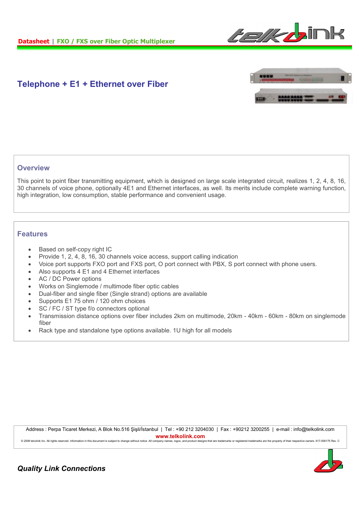

# **Telephone + E1 + Ethernet over Fiber**



## **Overview**

This point to point fiber transmitting equipment, which is designed on large scale integrated circuit, realizes 1, 2, 4, 8, 16, 30 channels of voice phone, optionally 4E1 and Ethernet interfaces, as well. Its merits include complete warning function, high integration, low consumption, stable performance and convenient usage.

### **Features**

- Based on self-copy right IC
- Provide 1, 2, 4, 8, 16, 30 channels voice access, support calling indication
- Voice port supports FXO port and FXS port, O port connect with PBX, S port connect with phone users.
- Also supports 4 E1 and 4 Ethernet interfaces
- AC / DC Power options
- Works on Singlemode / multimode fiber optic cables
- Dual-fiber and single fiber (Single strand) options are available
- Supports E1 75 ohm / 120 ohm choices
- SC / FC / ST type f/o connectors optional
- Transmission distance options over fiber includes 2km on multimode, 20km 40km 60km 80km on singlemode fiber
- Rack type and standalone type options available. 1U high for all models

Address : Perpa Ticaret Merkezi, A Blok No.516 Şişli/İstanbul | Tel : +90 212 3204030 | Fax : +90212 3200255 | e-mail : info@telkolink.com **www.telkolink.com**

@ 2009 telcolink Inc. All rights reserved. Information in this document is subject to change without notice. All company names, logos, and product designs that are trademarks or registered trademarks are the property of th